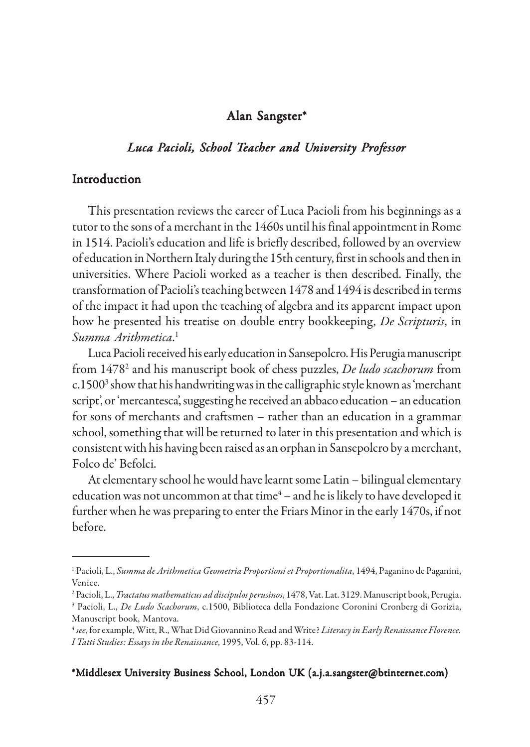### Alan Sangster\*

# *Luca Pacioli, School Teacher and University Professor*

### Introduction

This presentation reviews the career of Luca Pacioli from his beginnings as a tutor to the sons of a merchant in the 1460s until his final appointment in Rome in 1514. Pacioli's education and life is briefly described, followed by an overview of education in Northern Italy during the 15th century, first in schools and then in universities. Where Pacioli worked as a teacher is then described. Finally, the transformation of Pacioli's teaching between 1478 and 1494 is described in terms of the impact it had upon the teaching of algebra and its apparent impact upon how he presented his treatise on double entry bookkeeping, *De Scripturis*, in *Summa Arithmetica*. 1

Luca Pacioli received his early education in Sansepolcro. His Perugia manuscript from 14782 and his manuscript book of chess puzzles, *De ludo scachorum* from c.1500 $^3$  show that his handwriting was in the calligraphic style known as 'merchant script', or 'mercantesca', suggesting he received an abbaco education – an education for sons of merchants and craftsmen – rather than an education in a grammar school, something that will be returned to later in this presentation and which is consistent with his having been raised as an orphan in Sansepolcro by a merchant, Folco de' Befolci.

At elementary school he would have learnt some Latin – bilingual elementary education was not uncommon at that time $\rm ^4$  – and he is likely to have developed it further when he was preparing to enter the Friars Minor in the early 1470s, if not before.

#### \*Middlesex University Business School, London UK (a.j.a.sangster@btinternet.com)

<sup>&</sup>lt;sup>1</sup> Pacioli, L., *Summa de Arithmetica Geometria Proportioni et Proportionalita*, 1494, Paganino de Paganini, Venice.

<sup>2</sup> Pacioli, L., *Tractatus mathematicus ad discipulos perusinos*, 1478, Vat. Lat. 3129. Manuscript book, Perugia.

<sup>3</sup> Pacioli, L., *De Ludo Scachorum*, c.1500, Biblioteca della Fondazione Coronini Cronberg di Gorizia, Manuscript book, Mantova.

<sup>4</sup> *see*, for example, Witt, R., What Did Giovannino Read and Write? *Literacy in Early Renaissance Florence. I Tatti Studies: Essays in the Renaissance*, 1995, Vol. 6, pp. 83-114.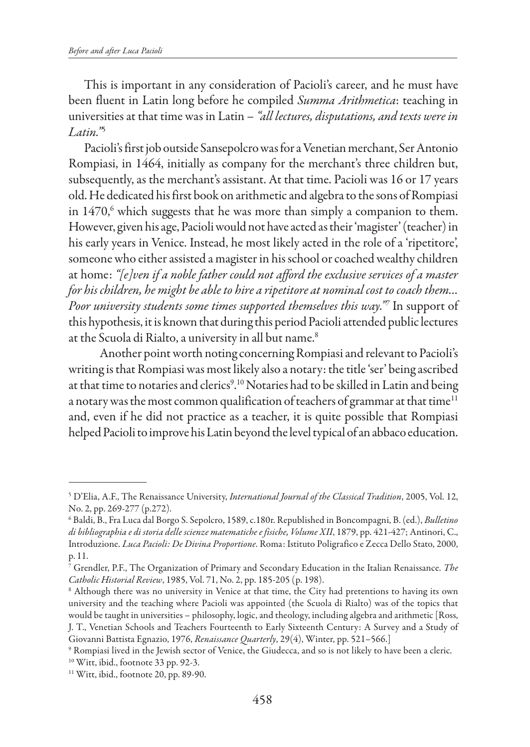This is important in any consideration of Pacioli's career, and he must have been fluent in Latin long before he compiled *Summa Arithmetica*: teaching in universities at that time was in Latin – *"all lectures, disputations, and texts were in Latin."*<sup>5</sup>

Pacioli's first job outside Sansepolcro was for a Venetian merchant, Ser Antonio Rompiasi, in 1464, initially as company for the merchant's three children but, subsequently, as the merchant's assistant. At that time. Pacioli was 16 or 17 years old. He dedicated his first book on arithmetic and algebra to the sons of Rompiasi in  $1470,^6$  which suggests that he was more than simply a companion to them. However, given his age, Pacioli would not have acted as their 'magister' (teacher) in his early years in Venice. Instead, he most likely acted in the role of a 'ripetitore', someone who either assisted a magister in his school or coached wealthy children at home: *"[e]ven if a noble father could not afford the exclusive services of a master for his children, he might be able to hire a ripetitore at nominal cost to coach them… Poor university students some times supported themselves this way."7* In support of this hypothesis, it is known that during this period Pacioli attended public lectures at the Scuola di Rialto, a university in all but name.<sup>8</sup>

Another point worth noting concerning Rompiasi and relevant to Pacioli's writing is that Rompiasi was most likely also a notary: the title 'ser' being ascribed at that time to notaries and clerics<sup>9</sup>.<sup>10</sup> Notaries had to be skilled in Latin and being a notary was the most common qualification of teachers of grammar at that time $11$ and, even if he did not practice as a teacher, it is quite possible that Rompiasi helped Pacioli to improve his Latin beyond the level typical of an abbaco education.

<sup>5</sup> D'Elia, A.F., The Renaissance University, *International Journal of the Classical Tradition*, 2005, Vol. 12, No. 2, pp. 269-277 (p.272).

<sup>6</sup> Baldi, B., Fra Luca dal Borgo S. Sepolcro, 1589, c.180r. Republished in Boncompagni, B. (ed.), *Bulletino di bibliographia e di storia delle scienze matematiche e fisiche, Volume XII*, 1879, pp. 421-427; Antinori, C., Introduzione. *Luca Pacioli: De Divina Proportione*. Roma: Istituto Poligrafico e Zecca Dello Stato, 2000, p. 11.

<sup>7</sup> Grendler, P.F., The Organization of Primary and Secondary Education in the Italian Renaissance. *The Catholic Historial Review*, 1985, Vol. 71, No. 2, pp. 185-205 (p. 198).

<sup>&</sup>lt;sup>8</sup> Although there was no university in Venice at that time, the City had pretentions to having its own university and the teaching where Pacioli was appointed (the Scuola di Rialto) was of the topics that would be taught in universities – philosophy, logic, and theology, including algebra and arithmetic [Ross, J. T., Venetian Schools and Teachers Fourteenth to Early Sixteenth Century: A Survey and a Study of Giovanni Battista Egnazio, 1976, *Renaissance Quarterly*, 29(4), Winter, pp. 521–566.]

<sup>9</sup> Rompiasi lived in the Jewish sector of Venice, the Giudecca, and so is not likely to have been a cleric. 10 Witt, ibid., footnote 33 pp. 92-3.

<sup>&</sup>lt;sup>11</sup> Witt, ibid., footnote 20, pp. 89-90.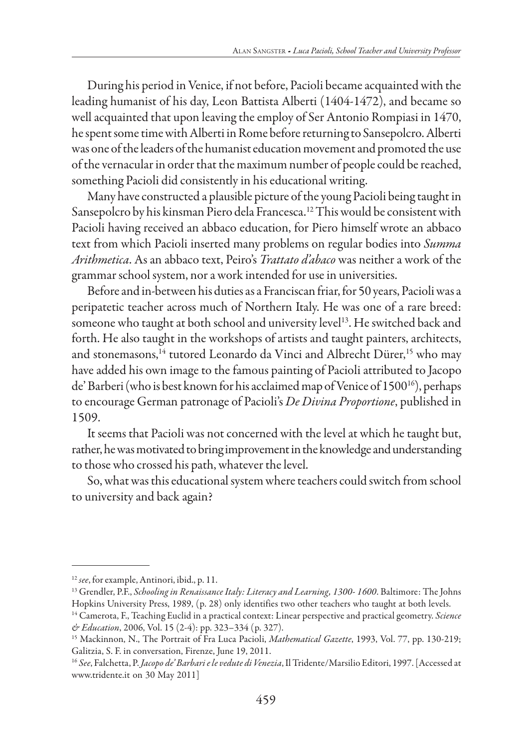During his period in Venice, if not before, Pacioli became acquainted with the leading humanist of his day, Leon Battista Alberti (1404-1472), and became so well acquainted that upon leaving the employ of Ser Antonio Rompiasi in 1470, he spent some time with Alberti in Rome before returning to Sansepolcro. Alberti was one of the leaders of the humanist education movement and promoted the use of the vernacular in order that the maximum number of people could be reached, something Pacioli did consistently in his educational writing.

Many have constructed a plausible picture of the young Pacioli being taught in Sansepolcro by his kinsman Piero dela Francesca.12 This would be consistent with Pacioli having received an abbaco education, for Piero himself wrote an abbaco text from which Pacioli inserted many problems on regular bodies into *Summa Arithmetica*. As an abbaco text, Peiro's *Trattato d'abaco* was neither a work of the grammar school system, nor a work intended for use in universities.

Before and in-between his duties as a Franciscan friar, for 50 years, Pacioli was a peripatetic teacher across much of Northern Italy. He was one of a rare breed: someone who taught at both school and university level<sup>13</sup>. He switched back and forth. He also taught in the workshops of artists and taught painters, architects, and stonemasons,<sup>14</sup> tutored Leonardo da Vinci and Albrecht Dürer,<sup>15</sup> who may have added his own image to the famous painting of Pacioli attributed to Jacopo de' Barberi (who is best known for his acclaimed map of Venice of 1500<sup>16</sup>), perhaps to encourage German patronage of Pacioli's *De Divina Proportione*, published in 1509.

It seems that Pacioli was not concerned with the level at which he taught but, rather, he was motivated to bring improvement in the knowledge and understanding to those who crossed his path, whatever the level.

So, what was this educational system where teachers could switch from school to university and back again?

<sup>12</sup> *see*, for example, Antinori, ibid., p. 11.

<sup>13</sup> Grendler, P.F., *Schooling in Renaissance Italy: Literacy and Learning, 1300- 1600*. Baltimore: The Johns Hopkins University Press, 1989, (p. 28) only identifies two other teachers who taught at both levels.

<sup>14</sup> Camerota, F., Teaching Euclid in a practical context: Linear perspective and practical geometry. *Science & Education*, 2006, Vol. 15 (2-4): pp. 323–334 (p. 327).

<sup>15</sup> Mackinnon, N., The Portrait of Fra Luca Pacioli, *Mathematical Gazette*, 1993, Vol. 77, pp. 130-219; Galitzia, S. F. in conversation, Firenze, June 19, 2011.

<sup>16</sup> *See*, Falchetta, P. *Jacopo de' Barbari e le vedute di Venezia*, Il Tridente/Marsilio Editori, 1997. [Accessed at www.tridente.it on 30 May 2011]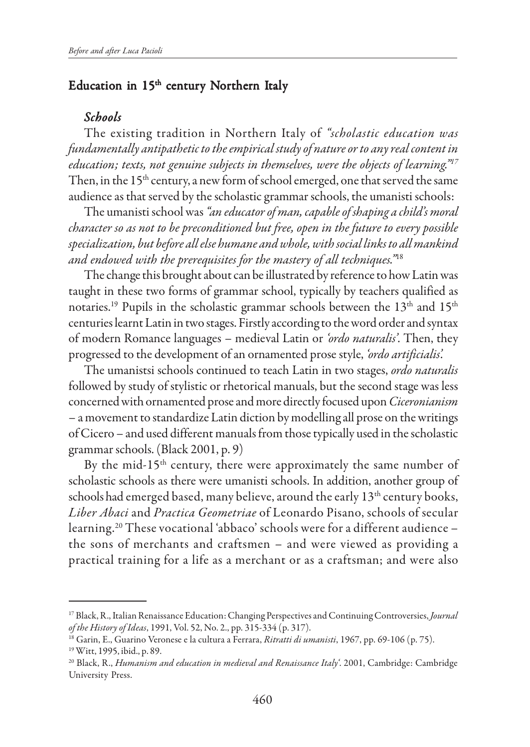## Education in 15<sup>th</sup> century Northern Italy

#### *Schools Schools*

The existing tradition in Northern Italy of *"scholastic education was fundamentally antipathetic to the empirical study of nature or to any real content in education; texts, not genuine subjects in themselves, were the objects of learning."17* Then, in the 15<sup>th</sup> century, a new form of school emerged, one that served the same audience as that served by the scholastic grammar schools, the umanisti schools:

The umanisti school was *"an educator of man, capable of shaping a child's moral character so as not to be preconditioned but free, open in the future to every possible specialization, but before all else humane and whole, with social links to all mankind and endowed with the prerequisites for the mastery of all techniques."*<sup>18</sup>

The change this brought about can be illustrated by reference to how Latin was taught in these two forms of grammar school, typically by teachers qualified as notaries.<sup>19</sup> Pupils in the scholastic grammar schools between the  $13<sup>th</sup>$  and  $15<sup>th</sup>$ centuries learnt Latin in two stages. Firstly according to the word order and syntax of modern Romance languages – medieval Latin or *'ordo naturalis'*. Then, they progressed to the development of an ornamented prose style, *'ordo artificialis'.*

The umanistsi schools continued to teach Latin in two stages, *ordo naturalis* followed by study of stylistic or rhetorical manuals, but the second stage was less concerned with ornamented prose and more directly focused upon *Ciceronianism* – a movement to standardize Latin diction by modelling all prose on the writings of Cicero – and used different manuals from those typically used in the scholastic grammar schools. (Black 2001, p. 9)

By the mid-15<sup>th</sup> century, there were approximately the same number of scholastic schools as there were umanisti schools. In addition, another group of schools had emerged based, many believe, around the early 13<sup>th</sup> century books, *Liber Abaci* and *Practica Geometriae* of Leonardo Pisano, schools of secular learning.20 These vocational 'abbaco' schools were for a different audience – the sons of merchants and craftsmen – and were viewed as providing a practical training for a life as a merchant or as a craftsman; and were also

<sup>17</sup> Black, R., Italian Renaissance Education: Changing Perspectives and Continuing Controversies, *Journal of the History of Ideas*, 1991, Vol. 52, No. 2., pp. 315-334 (p. 317).

<sup>18</sup> Garin, E., Guarino Veronese e la cultura a Ferrara, *Ritratti di umanisti*, 1967, pp. 69-106 (p. 75).

<sup>19</sup> Witt, 1995, ibid., p. 89.

<sup>20</sup> Black, R., *Humanism and education in medieval and Renaissance Italy'*. 2001, Cambridge: Cambridge University Press.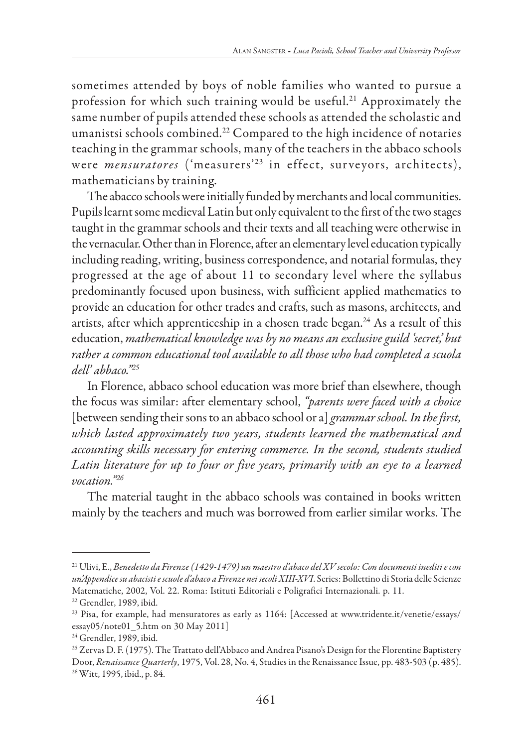sometimes attended by boys of noble families who wanted to pursue a profession for which such training would be useful.<sup>21</sup> Approximately the same number of pupils attended these schools as attended the scholastic and umanistsi schools combined.22 Compared to the high incidence of notaries teaching in the grammar schools, many of the teachers in the abbaco schools were *mensuratores* ('measurers'<sup>23</sup> in effect, surveyors, architects), mathematicians by training.

The abacco schools were initially funded by merchants and local communities. Pupils learnt some medieval Latin but only equivalent to the first of the two stages taught in the grammar schools and their texts and all teaching were otherwise in the vernacular. Other than in Florence, after an elementary level education typically including reading, writing, business correspondence, and notarial formulas, they progressed at the age of about 11 to secondary level where the syllabus predominantly focused upon business, with sufficient applied mathematics to provide an education for other trades and crafts, such as masons, architects, and artists, after which apprenticeship in a chosen trade began.<sup>24</sup> As a result of this education, *mathematical knowledge was by no means an exclusive guild 'secret,' but rather a common educational tool available to all those who had completed a scuola dell' abbaco."25*

In Florence, abbaco school education was more brief than elsewhere, though the focus was similar: after elementary school, *"parents were faced with a choice* [between sending their sons to an abbaco school or a] *grammar school. In the first, which lasted approximately two years, students learned the mathematical and accounting skills necessary for entering commerce. In the second, students studied Latin literature for up to four or five years, primarily with an eye to a learned vocation."26*

The material taught in the abbaco schools was contained in books written mainly by the teachers and much was borrowed from earlier similar works. The

<sup>21</sup> Ulivi, E., *Benedetto da Firenze (1429-1479) un maestro d'abaco del XV secolo: Con documenti inediti e con un'Appendice su abacisti e scuole d'abaco a Firenze nei secoli XIII-XVI*. Series: Bollettino di Storia delle Scienze Matematiche, 2002, Vol. 22. Roma: Istituti Editoriali e Poligrafici Internazionali. p. 11.

<sup>22</sup> Grendler, 1989, ibid.

<sup>23</sup> Pisa, for example, had mensuratores as early as 1164: [Accessed at www.tridente.it/venetie/essays/ essay05/note01\_5.htm on 30 May 2011]

<sup>&</sup>lt;sup>24</sup> Grendler, 1989, ibid.

<sup>&</sup>lt;sup>25</sup> Zervas D. F. (1975). The Trattato dell'Abbaco and Andrea Pisano's Design for the Florentine Baptistery Door, *Renaissance Quarterly*, 1975, Vol. 28, No. 4, Studies in the Renaissance Issue, pp. 483-503 (p. 485). 26 Witt, 1995, ibid., p. 84.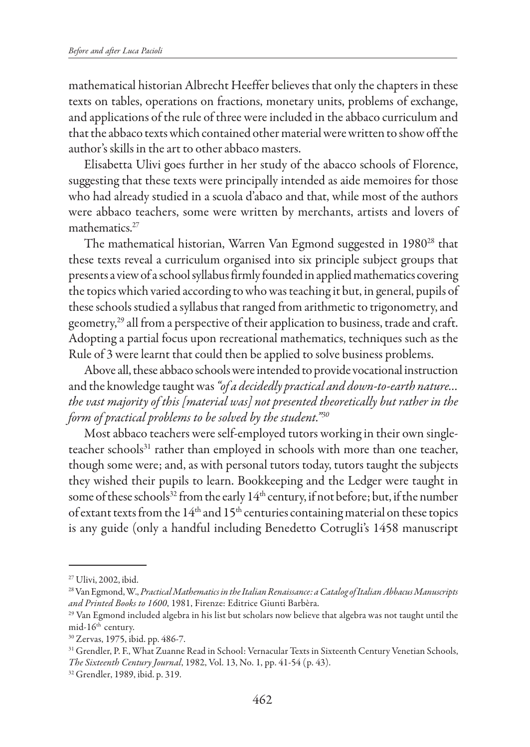mathematical historian Albrecht Heeffer believes that only the chapters in these texts on tables, operations on fractions, monetary units, problems of exchange, and applications of the rule of three were included in the abbaco curriculum and that the abbaco texts which contained other material were written to show off the author's skills in the art to other abbaco masters.

Elisabetta Ulivi goes further in her study of the abacco schools of Florence, suggesting that these texts were principally intended as aide memoires for those who had already studied in a scuola d'abaco and that, while most of the authors were abbaco teachers, some were written by merchants, artists and lovers of mathematics.<sup>27</sup>

The mathematical historian, Warren Van Egmond suggested in 1980<sup>28</sup> that these texts reveal a curriculum organised into six principle subject groups that presents a view of a school syllabus firmly founded in applied mathematics covering the topics which varied according to who was teaching it but, in general, pupils of these schools studied a syllabus that ranged from arithmetic to trigonometry, and geometry,<sup>29</sup> all from a perspective of their application to business, trade and craft. Adopting a partial focus upon recreational mathematics, techniques such as the Rule of 3 were learnt that could then be applied to solve business problems.

Above all, these abbaco schools were intended to provide vocational instruction and the knowledge taught was *"of a decidedly practical and down-to-earth nature… the vast majority of this [material was] not presented theoretically but rather in the form of practical problems to be solved by the student."30*

Most abbaco teachers were self-employed tutors working in their own singleteacher schools<sup>31</sup> rather than employed in schools with more than one teacher, though some were; and, as with personal tutors today, tutors taught the subjects they wished their pupils to learn. Bookkeeping and the Ledger were taught in some of these schools<sup>32</sup> from the early 14<sup>th</sup> century, if not before; but, if the number of extant texts from the  $14<sup>th</sup>$  and  $15<sup>th</sup>$  centuries containing material on these topics is any guide (only a handful including Benedetto Cotrugli's 1458 manuscript

<sup>27</sup> Ulivi, 2002, ibid.

<sup>28</sup> Van Egmond, W., *Practical Mathematics in the Italian Renaissance: a Catalog of Italian Abbacus Manuscripts and Printed Books to 1600*, 1981, Firenze: Editrice Giunti Barbèra.

<sup>29</sup> Van Egmond included algebra in his list but scholars now believe that algebra was not taught until the mid-16<sup>th</sup> century.

<sup>30</sup> Zervas, 1975, ibid. pp. 486-7.

<sup>&</sup>lt;sup>31</sup> Grendler, P. F., What Zuanne Read in School: Vernacular Texts in Sixteenth Century Venetian Schools, *The Sixteenth Century Journal*, 1982, Vol. 13, No. 1, pp. 41-54 (p. 43).

<sup>32</sup> Grendler, 1989, ibid. p. 319.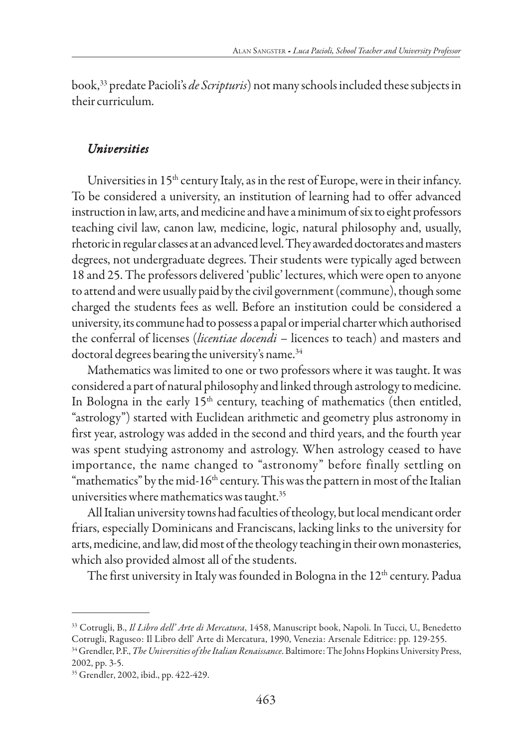book,33 predate Pacioli's *de Scripturis*) not many schools included these subjects in their curriculum.

### *Universities*

Universities in 15<sup>th</sup> century Italy, as in the rest of Europe, were in their infancy. To be considered a university, an institution of learning had to offer advanced instruction in law, arts, and medicine and have a minimum of six to eight professors teaching civil law, canon law, medicine, logic, natural philosophy and, usually, rhetoric in regular classes at an advanced level. They awarded doctorates and masters degrees, not undergraduate degrees. Their students were typically aged between 18 and 25. The professors delivered 'public' lectures, which were open to anyone to attend and were usually paid by the civil government (commune), though some charged the students fees as well. Before an institution could be considered a university, its commune had to possess a papal or imperial charter which authorised the conferral of licenses (*licentiae docendi* – licences to teach) and masters and doctoral degrees bearing the university's name.<sup>34</sup>

Mathematics was limited to one or two professors where it was taught. It was considered a part of natural philosophy and linked through astrology to medicine. In Bologna in the early  $15<sup>th</sup>$  century, teaching of mathematics (then entitled, "astrology") started with Euclidean arithmetic and geometry plus astronomy in first year, astrology was added in the second and third years, and the fourth year was spent studying astronomy and astrology. When astrology ceased to have importance, the name changed to "astronomy" before finally settling on "mathematics" by the mid-16<sup>th</sup> century. This was the pattern in most of the Italian universities where mathematics was taught.<sup>35</sup>

All Italian university towns had faculties of theology, but local mendicant order friars, especially Dominicans and Franciscans, lacking links to the university for arts, medicine, and law, did most of the theology teaching in their own monasteries, which also provided almost all of the students.

The first university in Italy was founded in Bologna in the 12<sup>th</sup> century. Padua

<sup>33</sup> Cotrugli, B., *Il Libro dell' Arte di Mercatura*, 1458, Manuscript book, Napoli. In Tucci, U., Benedetto Cotrugli, Raguseo: Il Libro dell' Arte di Mercatura, 1990, Venezia: Arsenale Editrice: pp. 129-255.

<sup>34</sup> Grendler, P.F., *The Universities of the Italian Renaissance*. Baltimore: The Johns Hopkins University Press, 2002, pp. 3-5.

<sup>35</sup> Grendler, 2002, ibid., pp. 422-429.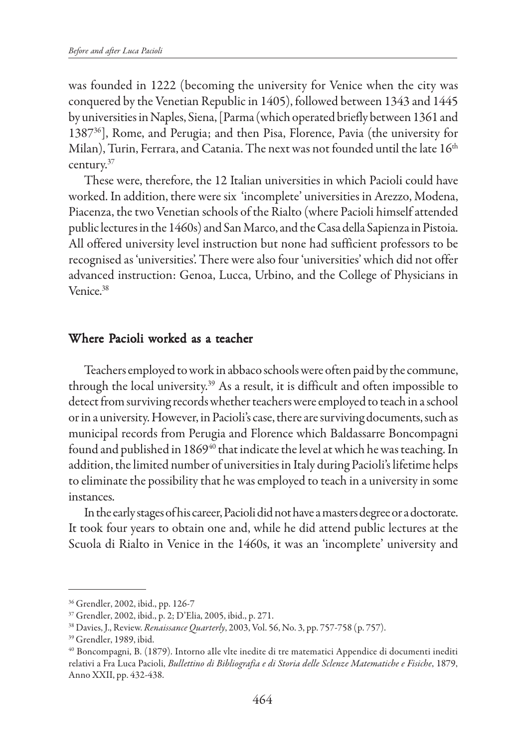was founded in 1222 (becoming the university for Venice when the city was conquered by the Venetian Republic in 1405), followed between 1343 and 1445 by universities in Naples, Siena, [Parma (which operated briefly between 1361 and 138736], Rome, and Perugia; and then Pisa, Florence, Pavia (the university for Milan), Turin, Ferrara, and Catania. The next was not founded until the late 16<sup>th</sup> century.37

These were, therefore, the 12 Italian universities in which Pacioli could have worked. In addition, there were six 'incomplete' universities in Arezzo, Modena, Piacenza, the two Venetian schools of the Rialto (where Pacioli himself attended public lectures in the 1460s) and San Marco, and the Casa della Sapienza in Pistoia. All offered university level instruction but none had sufficient professors to be recognised as 'universities'. There were also four 'universities' which did not offer advanced instruction: Genoa, Lucca, Urbino, and the College of Physicians in Venice.<sup>38</sup>

### Where Pacioli worked as a teacher

Teachers employed to work in abbaco schools were often paid by the commune, through the local university.39 As a result, it is difficult and often impossible to detect from surviving records whether teachers were employed to teach in a school or in a university. However, in Pacioli's case, there are surviving documents, such as municipal records from Perugia and Florence which Baldassarre Boncompagni found and published in 1869 $^{40}$  that indicate the level at which he was teaching. In addition, the limited number of universities in Italy during Pacioli's lifetime helps to eliminate the possibility that he was employed to teach in a university in some instances.

In the early stages of his career, Pacioli did not have a masters degree or a doctorate. It took four years to obtain one and, while he did attend public lectures at the Scuola di Rialto in Venice in the 1460s, it was an 'incomplete' university and

<sup>36</sup> Grendler, 2002, ibid., pp. 126-7

<sup>37</sup> Grendler, 2002, ibid., p. 2; D'Elia, 2005, ibid., p. 271.

<sup>38</sup> Davies, J., Review. *Renaissance Quarterly*, 2003, Vol. 56, No. 3, pp. 757-758 (p. 757).

<sup>39</sup> Grendler, 1989, ibid.

<sup>40</sup> Boncompagni, B. (1879). Intorno aIle vlte inedite di tre matematici Appendice di documenti inediti relativi a Fra Luca Pacioli, *Bullettino di Bibliografia e di Storia delle Sclenze Matematiche e Fisiche*, 1879, Anno XXII, pp. 432-438.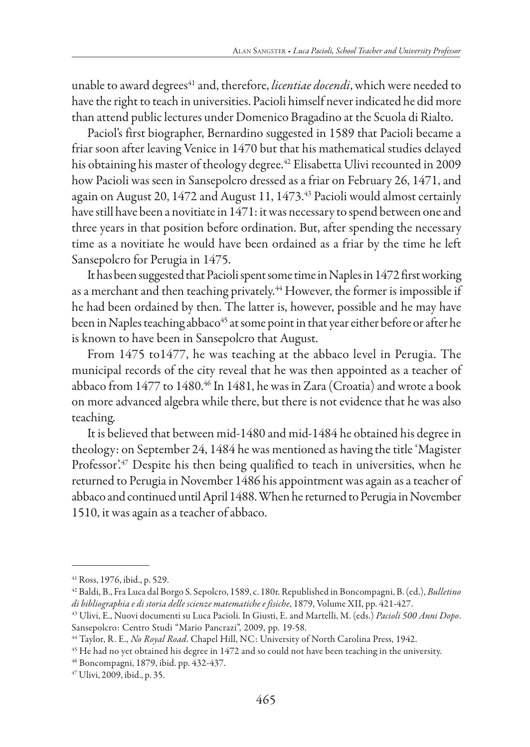unable to award degrees<sup>41</sup> and, therefore, *licentiae docendi*, which were needed to have the right to teach in universities. Pacioli himself never indicated he did more than attend public lectures under Domenico Bragadino at the Scuola di Rialto.

Paciol's first biographer, Bernardino suggested in 1589 that Pacioli became a friar soon after leaving Venice in 1470 but that his mathematical studies delayed his obtaining his master of theology degree.<sup>42</sup> Elisabetta Ulivi recounted in 2009 how Pacioli was seen in Sansepolcro dressed as a friar on February 26, 1471, and again on August 20, 1472 and August 11, 1473.<sup>43</sup> Pacioli would almost certainly have still have been a novitiate in 1471: it was necessary to spend between one and three years in that position before ordination. But, after spending the necessary time as a novitiate he would have been ordained as a friar by the time he left Sansepolcro for Perugia in 1475.

It has been suggested that Pacioli spent some time in Naples in 1472 first working as a merchant and then teaching privately.<sup>44</sup> However, the former is impossible if he had been ordained by then. The latter is, however, possible and he may have been in Naples teaching abbaco<sup>45</sup> at some point in that year either before or after he is known to have been in Sansepolcro that August.

From 1475 to1477, he was teaching at the abbaco level in Perugia. The municipal records of the city reveal that he was then appointed as a teacher of abbaco from 1477 to 1480.46 In 1481, he was in Zara (Croatia) and wrote a book on more advanced algebra while there, but there is not evidence that he was also teaching.

It is believed that between mid-1480 and mid-1484 he obtained his degree in theology: on September 24, 1484 he was mentioned as having the title 'Magister Professor'.<sup>47</sup> Despite his then being qualified to teach in universities, when he returned to Perugia in November 1486 his appointment was again as a teacher of abbaco and continued until April 1488. When he returned to Perugia in November 1510, it was again as a teacher of abbaco.

<sup>41</sup> Ross, 1976, ibid., p. 529.

<sup>42</sup> Baldi, B., Fra Luca dal Borgo S. Sepolcro, 1589, c. 180r. Republished in Boncompagni, B. (ed.), *Bulletino di bibliographia e di storia delle scienze matematiche e fisiche*, 1879, Volume XII, pp. 421-427.

<sup>43</sup> Ulivi, E., Nuovi documenti su Luca Pacioli. In Giusti, E. and Martelli, M. (eds.) *Pacioli 500 Anni Dopo*. Sansepolcro: Centro Studi "Mario Pancrazi", 2009, pp. 19-58.

<sup>44</sup> Taylor, R. E., *No Royal Road*. Chapel Hill, NC: University of North Carolina Press, 1942.

<sup>&</sup>lt;sup>45</sup> He had no yet obtained his degree in 1472 and so could not have been teaching in the university.

<sup>46</sup> Boncompagni, 1879, ibid. pp. 432-437.

<sup>47</sup> Ulivi, 2009, ibid., p. 35.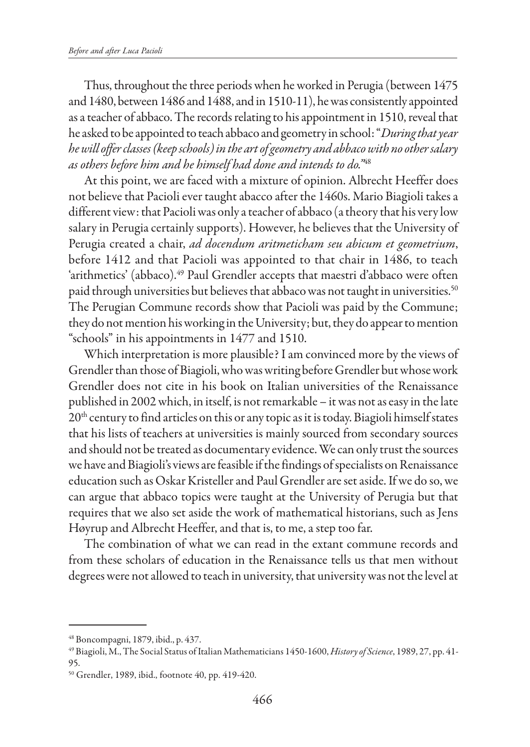Thus, throughout the three periods when he worked in Perugia (between 1475 and 1480, between 1486 and 1488, and in 1510-11), he was consistently appointed as a teacher of abbaco. The records relating to his appointment in 1510, reveal that he asked to be appointed to teach abbaco and geometry in school: "*During that year he will offer classes (keep schools) in the art of geometry and abbaco with no other salary as others before him and he himself had done and intends to do."*<sup>48</sup>

At this point, we are faced with a mixture of opinion. Albrecht Heeffer does not believe that Pacioli ever taught abacco after the 1460s. Mario Biagioli takes a different view: that Pacioli was only a teacher of abbaco (a theory that his very low salary in Perugia certainly supports). However, he believes that the University of Perugia created a chair, *ad docendum aritmeticham seu abicum et geometrium*, before 1412 and that Pacioli was appointed to that chair in 1486, to teach 'arithmetics' (abbaco).<sup>49</sup> Paul Grendler accepts that maestri d'abbaco were often paid through universities but believes that abbaco was not taught in universities.<sup>50</sup> The Perugian Commune records show that Pacioli was paid by the Commune; they do not mention his working in the University; but, they do appear to mention "schools" in his appointments in 1477 and 1510.

Which interpretation is more plausible? I am convinced more by the views of Grendler than those of Biagioli, who was writing before Grendler but whose work Grendler does not cite in his book on Italian universities of the Renaissance published in 2002 which, in itself, is not remarkable – it was not as easy in the late  $20<sup>th</sup>$  century to find articles on this or any topic as it is today. Biagioli himself states that his lists of teachers at universities is mainly sourced from secondary sources and should not be treated as documentary evidence. We can only trust the sources we have and Biagioli's views are feasible if the findings of specialists on Renaissance education such as Oskar Kristeller and Paul Grendler are set aside. If we do so, we can argue that abbaco topics were taught at the University of Perugia but that requires that we also set aside the work of mathematical historians, such as Jens Høyrup and Albrecht Heeffer, and that is, to me, a step too far.

The combination of what we can read in the extant commune records and from these scholars of education in the Renaissance tells us that men without degrees were not allowed to teach in university, that university was not the level at

<sup>48</sup> Boncompagni, 1879, ibid., p. 437.

<sup>49</sup> Biagioli, M., The Social Status of Italian Mathematicians 1450-1600, *History of Science*, 1989, 27, pp. 41- 95.

<sup>50</sup> Grendler, 1989, ibid., footnote 40, pp. 419-420.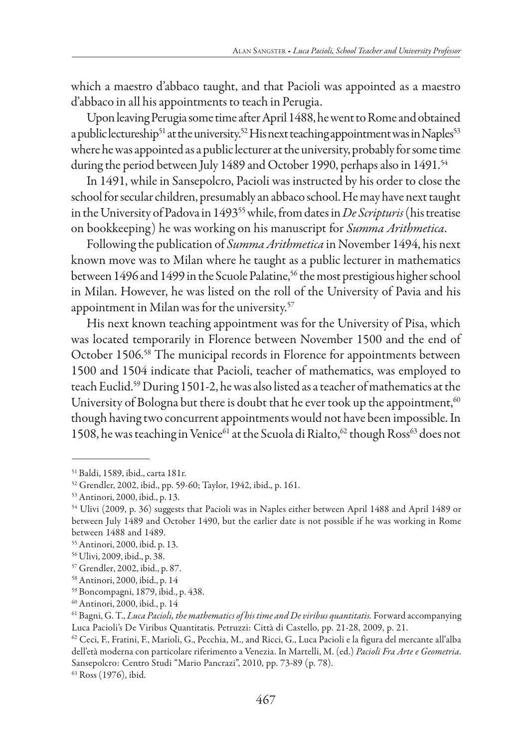which a maestro d'abbaco taught, and that Pacioli was appointed as a maestro d'abbaco in all his appointments to teach in Perugia.

Upon leaving Perugia some time after April 1488, he went to Rome and obtained a public lectureship<sup>51</sup> at the university.<sup>52</sup> His next teaching appointment was in Naples<sup>53</sup> where he was appointed as a public lecturer at the university, probably for some time during the period between July 1489 and October 1990, perhaps also in 1491.<sup>54</sup>

In 1491, while in Sansepolcro, Pacioli was instructed by his order to close the school for secular children, presumably an abbaco school. He may have next taught in the University of Padova in 149355 while, from dates in *De Scripturis* (his treatise on bookkeeping) he was working on his manuscript for *Summa Arithmetica*.

Following the publication of *Summa Arithmetica* in November 1494, his next known move was to Milan where he taught as a public lecturer in mathematics between 1496 and 1499 in the Scuole Palatine,<sup>56</sup> the most prestigious higher school in Milan. However, he was listed on the roll of the University of Pavia and his appointment in Milan was for the university.57

His next known teaching appointment was for the University of Pisa, which was located temporarily in Florence between November 1500 and the end of October 1506.58 The municipal records in Florence for appointments between 1500 and 1504 indicate that Pacioli, teacher of mathematics, was employed to teach Euclid.59 During 1501-2, he was also listed as a teacher of mathematics at the University of Bologna but there is doubt that he ever took up the appointment,  $60$ though having two concurrent appointments would not have been impossible. In 1508, he was teaching in Venice<sup>61</sup> at the Scuola di Rialto,<sup>62</sup> though Ross<sup>63</sup> does not

<sup>51</sup> Baldi, 1589, ibid., carta 181r.

<sup>52</sup> Grendler, 2002, ibid., pp. 59-60; Taylor, 1942, ibid., p. 161.

<sup>53</sup> Antinori, 2000, ibid., p. 13.

<sup>54</sup> Ulivi (2009, p. 36) suggests that Pacioli was in Naples either between April 1488 and April 1489 or between July 1489 and October 1490, but the earlier date is not possible if he was working in Rome between 1488 and 1489.

<sup>55</sup> Antinori, 2000, ibid. p. 13.

<sup>56</sup> Ulivi, 2009, ibid., p. 38.

<sup>57</sup> Grendler, 2002, ibid., p. 87.

<sup>58</sup> Antinori, 2000, ibid., p. 14

<sup>59</sup> Boncompagni, 1879, ibid., p. 438.

<sup>60</sup> Antinori, 2000, ibid., p. 14

<sup>61</sup> Bagni, G. T., *Luca Pacioli, the mathematics of his time and De viribus quantitatis.* Forward accompanying Luca Pacioli's De Viribus Quantitatis. Petruzzi: Città di Castello, pp. 21-28, 2009, p. 21.

 $62$  Ceci, F., Fratini, F., Marioli, G., Pecchia, M., and Ricci, G., Luca Pacioli e la figura del mercante all'alba dell'età moderna con particolare riferimento a Venezia. In Martelli, M. (ed.) *Pacioli Fra Arte e Geometria*. Sansepolcro: Centro Studi "Mario Pancrazi", 2010, pp. 73-89 (p. 78).

<sup>63</sup> Ross (1976), ibid.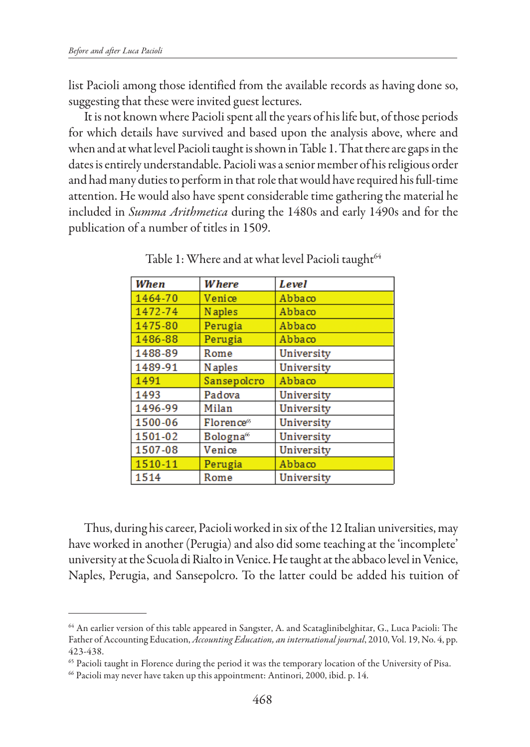list Pacioli among those identified from the available records as having done so, suggesting that these were invited guest lectures.

It is not known where Pacioli spent all the years of his life but, of those periods for which details have survived and based upon the analysis above, where and when and at what level Pacioli taught is shown in Table 1. That there are gaps in the dates is entirely understandable. Pacioli was a senior member of his religious order and had many duties to perform in that role that would have required his full-time attention. He would also have spent considerable time gathering the material he included in *Summa Arithmetica* during the 1480s and early 1490s and for the publication of a number of titles in 1509.

| When    | Where                  | Level      |
|---------|------------------------|------------|
| 1464-70 | Venice                 | Abbaco     |
| 1472-74 | <b>Naples</b>          | Abbaco     |
| 1475-80 | Perugia                | Abbaco     |
| 1486-88 | Perugia                | Abbaco     |
| 1488-89 | Rome                   | University |
| 1489-91 | <b>N</b> aples         | University |
| 1491    | Sansepolcro            | Abbaco     |
| 1493    | Padova                 | University |
| 1496-99 | Milan                  | University |
| 1500-06 | Florence <sup>65</sup> | University |
| 1501-02 | Bologna <sup>66</sup>  | University |
| 1507-08 | Venice                 | University |
| 1510-11 | Perugia                | Abbaco     |
| 1514    | Rome                   | University |

Table 1: Where and at what level Pacioli taught<sup>64</sup>

Thus, during his career, Pacioli worked in six of the 12 Italian universities, may have worked in another (Perugia) and also did some teaching at the 'incomplete' university at the Scuola di Rialto in Venice. He taught at the abbaco level in Venice, Naples, Perugia, and Sansepolcro. To the latter could be added his tuition of

<sup>64</sup> An earlier version of this table appeared in Sangster, A. and Scataglinibelghitar, G., Luca Pacioli: The Father of Accounting Education, *Accounting Education, an international journal*, 2010, Vol. 19, No. 4, pp. 423-438.

<sup>65</sup> Pacioli taught in Florence during the period it was the temporary location of the University of Pisa.

<sup>&</sup>lt;sup>66</sup> Pacioli may never have taken up this appointment: Antinori, 2000, ibid. p. 14.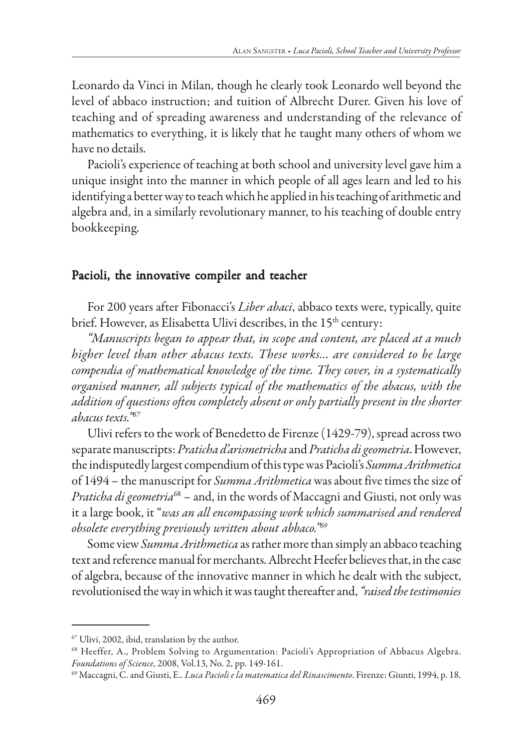Leonardo da Vinci in Milan, though he clearly took Leonardo well beyond the level of abbaco instruction; and tuition of Albrecht Durer. Given his love of teaching and of spreading awareness and understanding of the relevance of mathematics to everything, it is likely that he taught many others of whom we have no details.

Pacioli's experience of teaching at both school and university level gave him a unique insight into the manner in which people of all ages learn and led to his identifying a better way to teach which he applied in his teaching of arithmetic and algebra and, in a similarly revolutionary manner, to his teaching of double entry bookkeeping.

### Pacioli, the innovative compiler and teacher

For 200 years after Fibonacci's *Liber abaci*, abbaco texts were, typically, quite brief. However, as Elisabetta Ulivi describes, in the 15<sup>th</sup> century:

*"Manuscripts began to appear that, in scope and content, are placed at a much higher level than other abacus texts. These works… are considered to be large compendia of mathematical knowledge of the time. They cover, in a systematically organised manner, all subjects typical of the mathematics of the abacus, with the addition of questions often completely absent or only partially present in the shorter abacus texts."67*

Ulivi refers to the work of Benedetto de Firenze (1429-79), spread across two separate manuscripts: *Praticha d'arismetricha* and *Praticha di geometria*. However, the indisputedly largest compendium of this type was Pacioli's *Summa Arithmetica* of 1494 – the manuscript for *Summa Arithmetica* was about five times the size of *Praticha di geometria*<sup>68</sup> – and, in the words of Maccagni and Giusti, not only was it a large book, it "*was an all encompassing work which summarised and rendered obsolete everything previously written about abbaco."69*

Some view *Summa Arithmetica* as rather more than simply an abbaco teaching text and reference manual for merchants. Albrecht Heefer believes that, in the case of algebra, because of the innovative manner in which he dealt with the subject, revolutionised the way in which it was taught thereafter and, *"raised the testimonies*

<sup>67</sup> Ulivi, 2002, ibid, translation by the author.

<sup>68</sup> Heeffer, A., Problem Solving to Argumentation: Pacioli's Appropriation of Abbacus Algebra. *Foundations of Science*, 2008, Vol.13, No. 2, pp. 149-161.

<sup>69</sup> Maccagni, C. and Giusti, E.. *Luca Pacioli e la matematica del Rinascimento*. Firenze: Giunti, 1994, p. 18.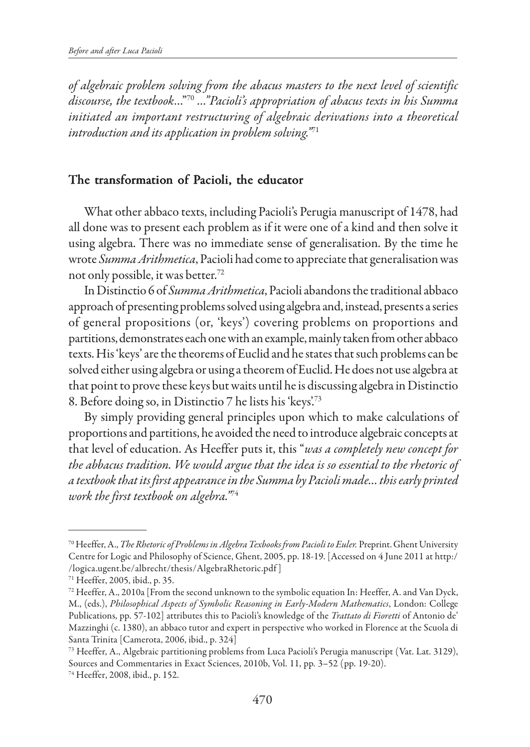*of algebraic problem solving from the abacus masters to the next level of scientific discourse, the textbook*…"70 *…"Pacioli's appropriation of abacus texts in his Summa initiated an important restructuring of algebraic derivations into a theoretical introduction and its application in problem solving."*<sup>71</sup>

# The transformation of Pacioli, the educator

What other abbaco texts, including Pacioli's Perugia manuscript of 1478, had all done was to present each problem as if it were one of a kind and then solve it using algebra. There was no immediate sense of generalisation. By the time he wrote *Summa Arithmetica*, Pacioli had come to appreciate that generalisation was not only possible, it was better.72

In Distinctio 6 of *Summa Arithmetica*, Pacioli abandons the traditional abbaco approach of presenting problems solved using algebra and, instead, presents a series of general propositions (or, 'keys') covering problems on proportions and partitions, demonstrates each one with an example, mainly taken from other abbaco texts. His 'keys' are the theorems of Euclid and he states that such problems can be solved either using algebra or using a theorem of Euclid. He does not use algebra at that point to prove these keys but waits until he is discussing algebra in Distinctio 8. Before doing so, in Distinctio 7 he lists his 'keys'.73

By simply providing general principles upon which to make calculations of proportions and partitions, he avoided the need to introduce algebraic concepts at that level of education. As Heeffer puts it, this "*was a completely new concept for the abbacus tradition. We would argue that the idea is so essential to the rhetoric of a textbook that its first appearance in the Summa by Pacioli made… this early printed work the first textbook on algebra."*<sup>74</sup>

<sup>70</sup> Heeffer, A., *The Rhetoric of Problems in Algebra Texbooks from Pacioli to Euler.* Preprint. Ghent University Centre for Logic and Philosophy of Science, Ghent, 2005, pp. 18-19. [Accessed on 4 June 2011 at http:/ /logica.ugent.be/albrecht/thesis/AlgebraRhetoric.pdf ]

<sup>71</sup> Heeffer, 2005, ibid., p. 35.

<sup>72</sup> Heeffer, A., 2010a [From the second unknown to the symbolic equation In: Heeffer, A. and Van Dyck, M., (eds.), *Philosophical Aspects of Symbolic Reasoning in Early-Modern Mathematics*, London: College Publications, pp. 57-102] attributes this to Pacioli's knowledge of the *Trattato di Fioretti* of Antonio de' Mazzinghi (c. 1380), an abbaco tutor and expert in perspective who worked in Florence at the Scuola di Santa Trinita [Camerota, 2006, ibid., p. 324]

<sup>73</sup> Heeffer, A., Algebraic partitioning problems from Luca Pacioli's Perugia manuscript (Vat. Lat. 3129), Sources and Commentaries in Exact Sciences, 2010b, Vol. 11, pp. 3–52 (pp. 19-20).

<sup>74</sup> Heeffer, 2008, ibid., p. 152.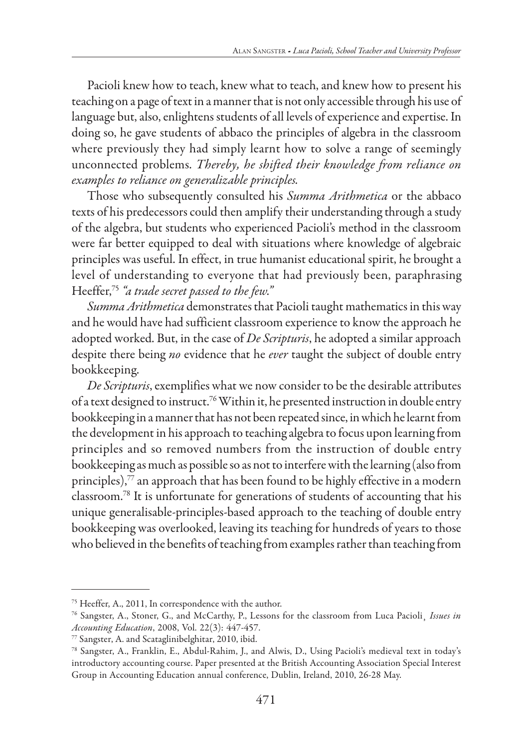Pacioli knew how to teach, knew what to teach, and knew how to present his teaching on a page of text in a manner that is not only accessible through his use of language but, also, enlightens students of all levels of experience and expertise. In doing so, he gave students of abbaco the principles of algebra in the classroom where previously they had simply learnt how to solve a range of seemingly unconnected problems. *Thereby, he shifted their knowledge from reliance on examples to reliance on generalizable principles.*

Those who subsequently consulted his *Summa Arithmetica* or the abbaco texts of his predecessors could then amplify their understanding through a study of the algebra, but students who experienced Pacioli's method in the classroom were far better equipped to deal with situations where knowledge of algebraic principles was useful. In effect, in true humanist educational spirit, he brought a level of understanding to everyone that had previously been, paraphrasing Heeffer,75 *"a trade secret passed to the few."*

*Summa Arithmetica* demonstrates that Pacioli taught mathematics in this way and he would have had sufficient classroom experience to know the approach he adopted worked. But, in the case of *De Scripturis*, he adopted a similar approach despite there being *no* evidence that he *ever* taught the subject of double entry bookkeeping.

*De Scripturis*, exemplifies what we now consider to be the desirable attributes of a text designed to instruct.76 Within it, he presented instruction in double entry bookkeeping in a manner that has not been repeated since, in which he learnt from the development in his approach to teaching algebra to focus upon learning from principles and so removed numbers from the instruction of double entry bookkeeping as much as possible so as not to interfere with the learning (also from principles), $77$  an approach that has been found to be highly effective in a modern classroom.78 It is unfortunate for generations of students of accounting that his unique generalisable-principles-based approach to the teaching of double entry bookkeeping was overlooked, leaving its teaching for hundreds of years to those who believed in the benefits of teaching from examples rather than teaching from

<sup>75</sup> Heeffer, A., 2011, In correspondence with the author.

<sup>76</sup> Sangster, A., Stoner, G., and McCarthy, P., Lessons for the classroom from Luca Pacioli¸ *Issues in Accounting Education*, 2008, Vol. 22(3): 447-457.

<sup>77</sup> Sangster, A. and Scataglinibelghitar, 2010, ibid.

<sup>78</sup> Sangster, A., Franklin, E., Abdul-Rahim, J., and Alwis, D., Using Pacioli's medieval text in today's introductory accounting course. Paper presented at the British Accounting Association Special Interest Group in Accounting Education annual conference, Dublin, Ireland, 2010, 26-28 May.